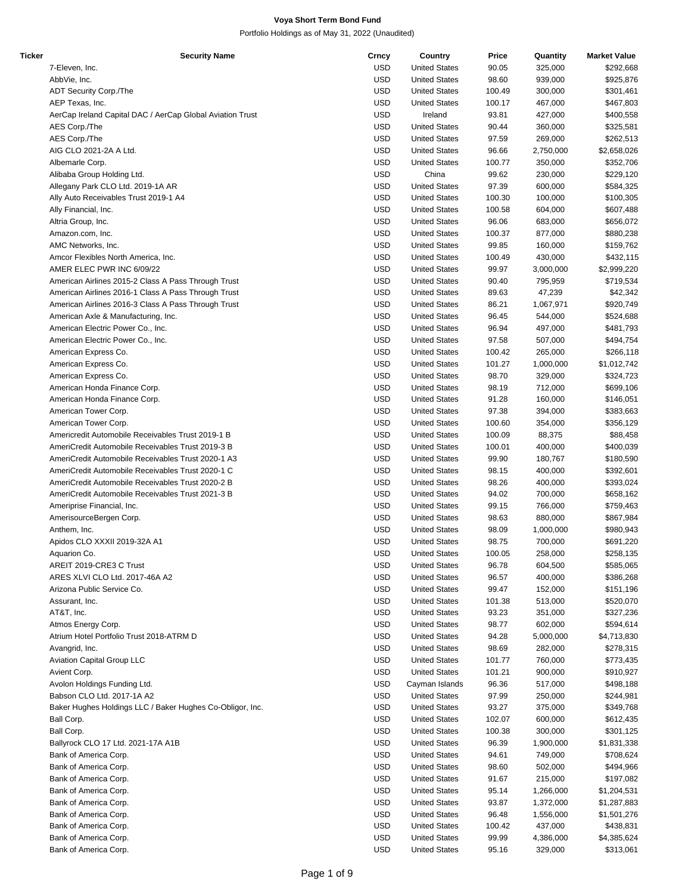| Ticker | <b>Security Name</b>                                      | Crncy      | Country              | Price  | Quantity  | <b>Market Value</b> |
|--------|-----------------------------------------------------------|------------|----------------------|--------|-----------|---------------------|
|        | 7-Eleven, Inc.                                            | <b>USD</b> | <b>United States</b> | 90.05  | 325,000   | \$292,668           |
|        | AbbVie, Inc.                                              | <b>USD</b> | <b>United States</b> | 98.60  | 939,000   | \$925,876           |
|        | ADT Security Corp./The                                    | <b>USD</b> | <b>United States</b> | 100.49 | 300,000   | \$301,461           |
|        | AEP Texas, Inc.                                           | <b>USD</b> | <b>United States</b> | 100.17 | 467,000   | \$467,803           |
|        |                                                           | <b>USD</b> | Ireland              | 93.81  | 427,000   | \$400,558           |
|        | AerCap Ireland Capital DAC / AerCap Global Aviation Trust |            |                      |        |           |                     |
|        | AES Corp./The                                             | <b>USD</b> | <b>United States</b> | 90.44  | 360,000   | \$325,581           |
|        | AES Corp./The                                             | <b>USD</b> | <b>United States</b> | 97.59  | 269,000   | \$262,513           |
|        | AIG CLO 2021-2A A Ltd.                                    | <b>USD</b> | <b>United States</b> | 96.66  | 2,750,000 | \$2,658,026         |
|        | Albemarle Corp.                                           | <b>USD</b> | <b>United States</b> | 100.77 | 350,000   | \$352,706           |
|        | Alibaba Group Holding Ltd.                                | <b>USD</b> | China                | 99.62  | 230,000   | \$229,120           |
|        | Allegany Park CLO Ltd. 2019-1A AR                         | <b>USD</b> | <b>United States</b> | 97.39  | 600,000   | \$584,325           |
|        | Ally Auto Receivables Trust 2019-1 A4                     | <b>USD</b> | <b>United States</b> | 100.30 | 100,000   | \$100,305           |
|        | Ally Financial, Inc.                                      | <b>USD</b> | <b>United States</b> | 100.58 | 604,000   | \$607,488           |
|        |                                                           | <b>USD</b> |                      |        |           |                     |
|        | Altria Group, Inc.                                        |            | <b>United States</b> | 96.06  | 683,000   | \$656,072           |
|        | Amazon.com, Inc.                                          | <b>USD</b> | <b>United States</b> | 100.37 | 877,000   | \$880,238           |
|        | AMC Networks, Inc.                                        | <b>USD</b> | <b>United States</b> | 99.85  | 160,000   | \$159,762           |
|        | Amcor Flexibles North America, Inc.                       | <b>USD</b> | <b>United States</b> | 100.49 | 430,000   | \$432,115           |
|        | AMER ELEC PWR INC 6/09/22                                 | <b>USD</b> | <b>United States</b> | 99.97  | 3,000,000 | \$2,999,220         |
|        | American Airlines 2015-2 Class A Pass Through Trust       | <b>USD</b> | <b>United States</b> | 90.40  | 795,959   | \$719,534           |
|        | American Airlines 2016-1 Class A Pass Through Trust       | <b>USD</b> | <b>United States</b> | 89.63  | 47,239    | \$42,342            |
|        | American Airlines 2016-3 Class A Pass Through Trust       | <b>USD</b> | <b>United States</b> | 86.21  | 1,067,971 | \$920,749           |
|        | American Axle & Manufacturing, Inc.                       | <b>USD</b> | <b>United States</b> | 96.45  | 544,000   | \$524,688           |
|        |                                                           |            |                      |        |           |                     |
|        | American Electric Power Co., Inc.                         | <b>USD</b> | <b>United States</b> | 96.94  | 497,000   | \$481,793           |
|        | American Electric Power Co., Inc.                         | <b>USD</b> | <b>United States</b> | 97.58  | 507,000   | \$494,754           |
|        | American Express Co.                                      | <b>USD</b> | <b>United States</b> | 100.42 | 265,000   | \$266,118           |
|        | American Express Co.                                      | <b>USD</b> | <b>United States</b> | 101.27 | 1,000,000 | \$1,012,742         |
|        | American Express Co.                                      | <b>USD</b> | <b>United States</b> | 98.70  | 329,000   | \$324,723           |
|        | American Honda Finance Corp.                              | <b>USD</b> | <b>United States</b> | 98.19  | 712,000   | \$699,106           |
|        | American Honda Finance Corp.                              | <b>USD</b> | <b>United States</b> | 91.28  | 160,000   | \$146,051           |
|        | American Tower Corp.                                      | <b>USD</b> | <b>United States</b> | 97.38  | 394,000   | \$383,663           |
|        |                                                           |            |                      |        |           |                     |
|        | American Tower Corp.                                      | <b>USD</b> | <b>United States</b> | 100.60 | 354,000   | \$356,129           |
|        | Americredit Automobile Receivables Trust 2019-1 B         | <b>USD</b> | <b>United States</b> | 100.09 | 88,375    | \$88,458            |
|        | AmeriCredit Automobile Receivables Trust 2019-3 B         | <b>USD</b> | <b>United States</b> | 100.01 | 400,000   | \$400,039           |
|        | AmeriCredit Automobile Receivables Trust 2020-1 A3        | <b>USD</b> | <b>United States</b> | 99.90  | 180,767   | \$180,590           |
|        | AmeriCredit Automobile Receivables Trust 2020-1 C         | <b>USD</b> | <b>United States</b> | 98.15  | 400,000   | \$392,601           |
|        | AmeriCredit Automobile Receivables Trust 2020-2 B         | <b>USD</b> | <b>United States</b> | 98.26  | 400,000   | \$393,024           |
|        | AmeriCredit Automobile Receivables Trust 2021-3 B         | <b>USD</b> | <b>United States</b> | 94.02  | 700,000   | \$658,162           |
|        | Ameriprise Financial, Inc.                                | <b>USD</b> | <b>United States</b> | 99.15  | 766,000   | \$759,463           |
|        | AmerisourceBergen Corp.                                   | <b>USD</b> | <b>United States</b> | 98.63  | 880,000   | \$867,984           |
|        |                                                           |            |                      |        |           |                     |
|        | Anthem, Inc.                                              | <b>USD</b> | <b>United States</b> | 98.09  | 1,000,000 | \$980,943           |
|        | Apidos CLO XXXII 2019-32A A1                              | <b>USD</b> | <b>United States</b> | 98.75  | 700,000   | \$691,220           |
|        | Aquarion Co.                                              | <b>USD</b> | <b>United States</b> | 100.05 | 258,000   | \$258,135           |
|        | AREIT 2019-CRE3 C Trust                                   | <b>USD</b> | <b>United States</b> | 96.78  | 604,500   | \$585,065           |
|        | ARES XLVI CLO Ltd. 2017-46A A2                            | <b>USD</b> | <b>United States</b> | 96.57  | 400,000   | \$386,268           |
|        | Arizona Public Service Co.                                | <b>USD</b> | <b>United States</b> | 99.47  | 152,000   | \$151,196           |
|        | Assurant, Inc.                                            | <b>USD</b> | <b>United States</b> | 101.38 | 513,000   | \$520,070           |
|        | AT&T, Inc.                                                | <b>USD</b> | <b>United States</b> | 93.23  | 351,000   | \$327,236           |
|        | Atmos Energy Corp.                                        | <b>USD</b> | <b>United States</b> | 98.77  | 602,000   | \$594,614           |
|        |                                                           |            |                      |        |           |                     |
|        | Atrium Hotel Portfolio Trust 2018-ATRM D                  | <b>USD</b> | <b>United States</b> | 94.28  | 5,000,000 | \$4,713,830         |
|        | Avangrid, Inc.                                            | <b>USD</b> | <b>United States</b> | 98.69  | 282,000   | \$278,315           |
|        | Aviation Capital Group LLC                                | <b>USD</b> | <b>United States</b> | 101.77 | 760,000   | \$773,435           |
|        | Avient Corp.                                              | <b>USD</b> | <b>United States</b> | 101.21 | 900,000   | \$910,927           |
|        | Avolon Holdings Funding Ltd.                              | <b>USD</b> | Cayman Islands       | 96.36  | 517,000   | \$498,188           |
|        | Babson CLO Ltd. 2017-1A A2                                | <b>USD</b> | <b>United States</b> | 97.99  | 250,000   | \$244,981           |
|        | Baker Hughes Holdings LLC / Baker Hughes Co-Obligor, Inc. | <b>USD</b> | <b>United States</b> | 93.27  | 375,000   | \$349,768           |
|        | Ball Corp.                                                | <b>USD</b> | <b>United States</b> | 102.07 | 600,000   | \$612,435           |
|        |                                                           |            |                      |        |           |                     |
|        | Ball Corp.                                                | <b>USD</b> | <b>United States</b> | 100.38 | 300,000   | \$301,125           |
|        | Ballyrock CLO 17 Ltd. 2021-17A A1B                        | <b>USD</b> | <b>United States</b> | 96.39  | 1,900,000 | \$1,831,338         |
|        | Bank of America Corp.                                     | <b>USD</b> | <b>United States</b> | 94.61  | 749,000   | \$708,624           |
|        | Bank of America Corp.                                     | <b>USD</b> | <b>United States</b> | 98.60  | 502,000   | \$494,966           |
|        | Bank of America Corp.                                     | <b>USD</b> | <b>United States</b> | 91.67  | 215,000   | \$197,082           |
|        | Bank of America Corp.                                     | <b>USD</b> | <b>United States</b> | 95.14  | 1,266,000 | \$1,204,531         |
|        | Bank of America Corp.                                     | <b>USD</b> | <b>United States</b> | 93.87  | 1,372,000 | \$1,287,883         |
|        | Bank of America Corp.                                     | <b>USD</b> | <b>United States</b> | 96.48  | 1,556,000 | \$1,501,276         |
|        |                                                           | <b>USD</b> |                      |        | 437,000   |                     |
|        | Bank of America Corp.                                     |            | <b>United States</b> | 100.42 |           | \$438,831           |
|        | Bank of America Corp.                                     | <b>USD</b> | <b>United States</b> | 99.99  | 4,386,000 | \$4,385,624         |
|        | Bank of America Corp.                                     | <b>USD</b> | <b>United States</b> | 95.16  | 329,000   | \$313,061           |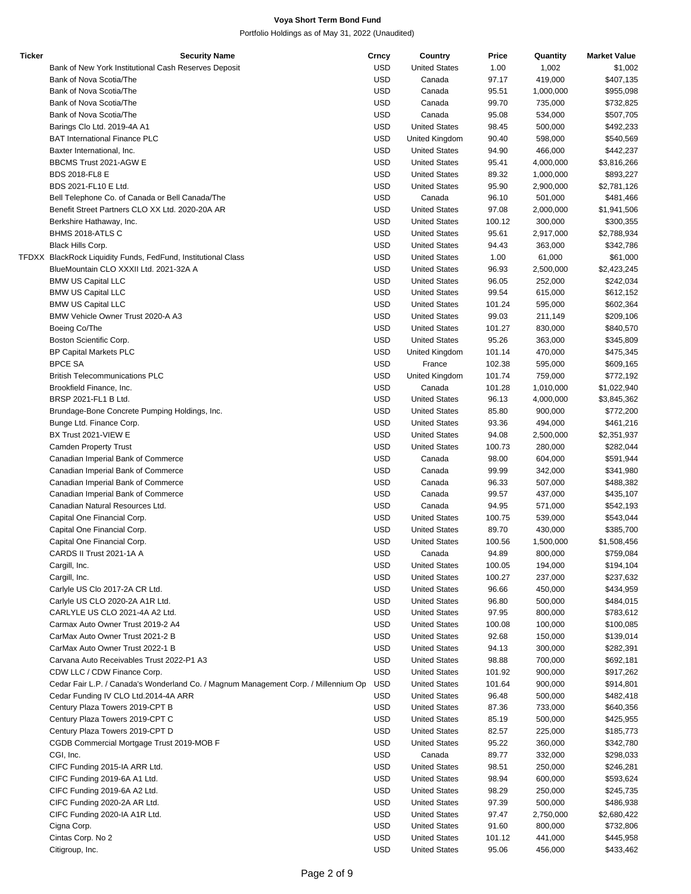| <b>Ticker</b> | <b>Security Name</b>                                                                | Crncy      | Country              | Price  | Quantity  | <b>Market Value</b> |
|---------------|-------------------------------------------------------------------------------------|------------|----------------------|--------|-----------|---------------------|
|               | Bank of New York Institutional Cash Reserves Deposit                                | <b>USD</b> | <b>United States</b> | 1.00   | 1,002     | \$1,002             |
|               | Bank of Nova Scotia/The                                                             | <b>USD</b> | Canada               | 97.17  | 419,000   | \$407,135           |
|               | Bank of Nova Scotia/The                                                             | <b>USD</b> | Canada               | 95.51  | 1,000,000 | \$955,098           |
|               | Bank of Nova Scotia/The                                                             | <b>USD</b> | Canada               | 99.70  | 735,000   | \$732,825           |
|               | Bank of Nova Scotia/The                                                             | <b>USD</b> | Canada               | 95.08  | 534,000   | \$507,705           |
|               |                                                                                     | <b>USD</b> | <b>United States</b> | 98.45  | 500,000   | \$492,233           |
|               | Barings Clo Ltd. 2019-4A A1                                                         |            |                      |        |           |                     |
|               | <b>BAT International Finance PLC</b>                                                | <b>USD</b> | United Kingdom       | 90.40  | 598,000   | \$540,569           |
|               | Baxter International, Inc.                                                          | <b>USD</b> | <b>United States</b> | 94.90  | 466,000   | \$442,237           |
|               | BBCMS Trust 2021-AGW E                                                              | <b>USD</b> | <b>United States</b> | 95.41  | 4,000,000 | \$3,816,266         |
|               | <b>BDS 2018-FL8 E</b>                                                               | <b>USD</b> | <b>United States</b> | 89.32  | 1,000,000 | \$893,227           |
|               | BDS 2021-FL10 E Ltd.                                                                | <b>USD</b> | <b>United States</b> | 95.90  | 2,900,000 | \$2,781,126         |
|               | Bell Telephone Co. of Canada or Bell Canada/The                                     | <b>USD</b> | Canada               | 96.10  | 501,000   | \$481,466           |
|               | Benefit Street Partners CLO XX Ltd. 2020-20A AR                                     | <b>USD</b> | <b>United States</b> | 97.08  | 2,000,000 | \$1,941,506         |
|               | Berkshire Hathaway, Inc.                                                            | <b>USD</b> | <b>United States</b> | 100.12 | 300,000   | \$300,355           |
|               | BHMS 2018-ATLS C                                                                    | <b>USD</b> | <b>United States</b> | 95.61  | 2,917,000 | \$2,788,934         |
|               | Black Hills Corp.                                                                   | <b>USD</b> | <b>United States</b> | 94.43  | 363,000   | \$342,786           |
|               | TFDXX BlackRock Liquidity Funds, FedFund, Institutional Class                       | <b>USD</b> | <b>United States</b> | 1.00   | 61,000    | \$61,000            |
|               | BlueMountain CLO XXXII Ltd. 2021-32A A                                              | <b>USD</b> | <b>United States</b> | 96.93  | 2,500,000 | \$2,423,245         |
|               | <b>BMW US Capital LLC</b>                                                           | <b>USD</b> | <b>United States</b> | 96.05  | 252,000   | \$242,034           |
|               | <b>BMW US Capital LLC</b>                                                           | <b>USD</b> | <b>United States</b> | 99.54  | 615,000   | \$612,152           |
|               | <b>BMW US Capital LLC</b>                                                           | <b>USD</b> | <b>United States</b> | 101.24 | 595,000   | \$602,364           |
|               | BMW Vehicle Owner Trust 2020-A A3                                                   | <b>USD</b> | <b>United States</b> | 99.03  | 211,149   | \$209,106           |
|               | Boeing Co/The                                                                       | <b>USD</b> | <b>United States</b> | 101.27 | 830,000   | \$840,570           |
|               | Boston Scientific Corp.                                                             | <b>USD</b> | <b>United States</b> | 95.26  | 363,000   | \$345,809           |
|               |                                                                                     |            |                      |        |           |                     |
|               | <b>BP Capital Markets PLC</b>                                                       | <b>USD</b> | United Kingdom       | 101.14 | 470,000   | \$475,345           |
|               | <b>BPCE SA</b>                                                                      | <b>USD</b> | France               | 102.38 | 595,000   | \$609,165           |
|               | <b>British Telecommunications PLC</b>                                               | <b>USD</b> | United Kingdom       | 101.74 | 759,000   | \$772,192           |
|               | Brookfield Finance, Inc.                                                            | <b>USD</b> | Canada               | 101.28 | 1,010,000 | \$1,022,940         |
|               | BRSP 2021-FL1 B Ltd.                                                                | <b>USD</b> | <b>United States</b> | 96.13  | 4,000,000 | \$3,845,362         |
|               | Brundage-Bone Concrete Pumping Holdings, Inc.                                       | <b>USD</b> | <b>United States</b> | 85.80  | 900,000   | \$772,200           |
|               | Bunge Ltd. Finance Corp.                                                            | <b>USD</b> | <b>United States</b> | 93.36  | 494,000   | \$461,216           |
|               | BX Trust 2021-VIEW E                                                                | <b>USD</b> | <b>United States</b> | 94.08  | 2,500,000 | \$2,351,937         |
|               | <b>Camden Property Trust</b>                                                        | <b>USD</b> | <b>United States</b> | 100.73 | 280,000   | \$282,044           |
|               | Canadian Imperial Bank of Commerce                                                  | <b>USD</b> | Canada               | 98.00  | 604,000   | \$591,944           |
|               | Canadian Imperial Bank of Commerce                                                  | <b>USD</b> | Canada               | 99.99  | 342,000   | \$341,980           |
|               | Canadian Imperial Bank of Commerce                                                  | <b>USD</b> | Canada               | 96.33  | 507,000   | \$488,382           |
|               | Canadian Imperial Bank of Commerce                                                  | <b>USD</b> | Canada               | 99.57  | 437,000   | \$435,107           |
|               | Canadian Natural Resources Ltd.                                                     | <b>USD</b> | Canada               | 94.95  | 571,000   | \$542,193           |
|               | Capital One Financial Corp.                                                         | <b>USD</b> | <b>United States</b> | 100.75 | 539,000   | \$543,044           |
|               |                                                                                     | <b>USD</b> | <b>United States</b> | 89.70  | 430,000   | \$385,700           |
|               | Capital One Financial Corp.<br>Capital One Financial Corp.                          | <b>USD</b> |                      |        |           |                     |
|               |                                                                                     |            | <b>United States</b> | 100.56 | 1,500,000 | \$1,508,456         |
|               | CARDS II Trust 2021-1A A                                                            | <b>USD</b> | Canada               | 94.89  | 800,000   | \$759,084           |
|               | Cargill, Inc.                                                                       | <b>USD</b> | <b>United States</b> | 100.05 | 194,000   | \$194,104           |
|               | Cargill, Inc.                                                                       | <b>USD</b> | <b>United States</b> | 100.27 | 237,000   | \$237,632           |
|               | Carlyle US Clo 2017-2A CR Ltd.                                                      | <b>USD</b> | <b>United States</b> | 96.66  | 450,000   | \$434,959           |
|               | Carlyle US CLO 2020-2A A1R Ltd.                                                     | <b>USD</b> | <b>United States</b> | 96.80  | 500,000   | \$484,015           |
|               | CARLYLE US CLO 2021-4A A2 Ltd.                                                      | <b>USD</b> | <b>United States</b> | 97.95  | 800,000   | \$783,612           |
|               | Carmax Auto Owner Trust 2019-2 A4                                                   | <b>USD</b> | <b>United States</b> | 100.08 | 100,000   | \$100,085           |
|               | CarMax Auto Owner Trust 2021-2 B                                                    | <b>USD</b> | <b>United States</b> | 92.68  | 150,000   | \$139,014           |
|               | CarMax Auto Owner Trust 2022-1 B                                                    | <b>USD</b> | <b>United States</b> | 94.13  | 300,000   | \$282,391           |
|               | Carvana Auto Receivables Trust 2022-P1 A3                                           | <b>USD</b> | <b>United States</b> | 98.88  | 700,000   | \$692,181           |
|               | CDW LLC / CDW Finance Corp.                                                         | <b>USD</b> | <b>United States</b> | 101.92 | 900,000   | \$917,262           |
|               | Cedar Fair L.P. / Canada's Wonderland Co. / Magnum Management Corp. / Millennium Op | <b>USD</b> | <b>United States</b> | 101.64 | 900,000   | \$914,801           |
|               | Cedar Funding IV CLO Ltd.2014-4A ARR                                                | <b>USD</b> | <b>United States</b> | 96.48  | 500,000   | \$482,418           |
|               | Century Plaza Towers 2019-CPT B                                                     | <b>USD</b> | <b>United States</b> | 87.36  | 733,000   | \$640,356           |
|               | Century Plaza Towers 2019-CPT C                                                     | <b>USD</b> | <b>United States</b> | 85.19  | 500,000   | \$425,955           |
|               |                                                                                     |            |                      |        |           |                     |
|               | Century Plaza Towers 2019-CPT D                                                     | <b>USD</b> | <b>United States</b> | 82.57  | 225,000   | \$185,773           |
|               | CGDB Commercial Mortgage Trust 2019-MOB F                                           | <b>USD</b> | <b>United States</b> | 95.22  | 360,000   | \$342,780           |
|               | CGI, Inc.                                                                           | <b>USD</b> | Canada               | 89.77  | 332,000   | \$298,033           |
|               | CIFC Funding 2015-IA ARR Ltd.                                                       | <b>USD</b> | <b>United States</b> | 98.51  | 250,000   | \$246,281           |
|               | CIFC Funding 2019-6A A1 Ltd.                                                        | <b>USD</b> | <b>United States</b> | 98.94  | 600,000   | \$593,624           |
|               | CIFC Funding 2019-6A A2 Ltd.                                                        | <b>USD</b> | <b>United States</b> | 98.29  | 250,000   | \$245,735           |
|               | CIFC Funding 2020-2A AR Ltd.                                                        | <b>USD</b> | <b>United States</b> | 97.39  | 500,000   | \$486,938           |
|               | CIFC Funding 2020-IA A1R Ltd.                                                       | <b>USD</b> | <b>United States</b> | 97.47  | 2,750,000 | \$2,680,422         |
|               | Cigna Corp.                                                                         | <b>USD</b> | <b>United States</b> | 91.60  | 800,000   | \$732,806           |
|               | Cintas Corp. No 2                                                                   | <b>USD</b> | <b>United States</b> | 101.12 | 441,000   | \$445,958           |
|               | Citigroup, Inc.                                                                     | <b>USD</b> | <b>United States</b> | 95.06  | 456,000   | \$433,462           |
|               |                                                                                     |            |                      |        |           |                     |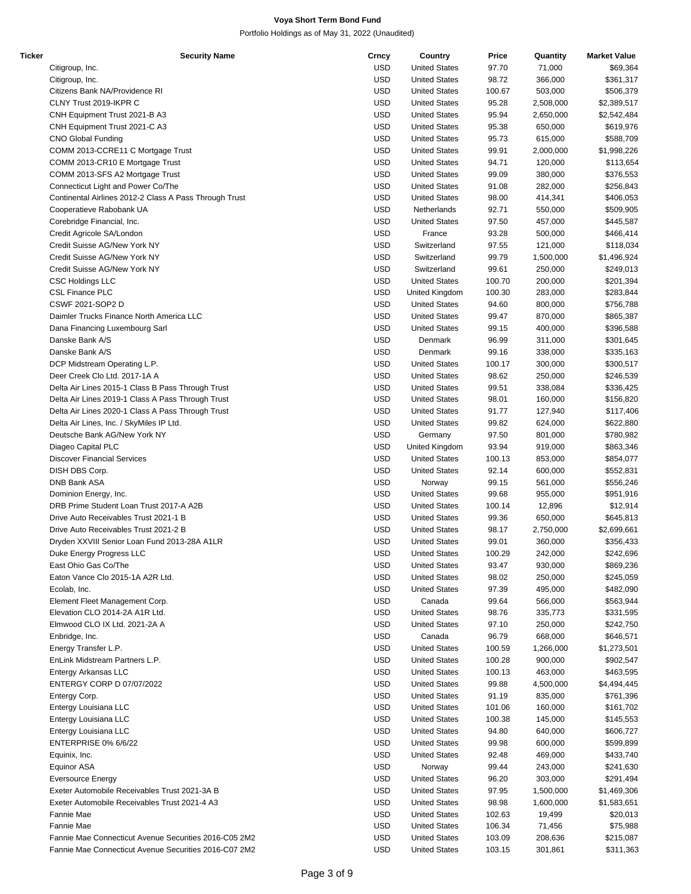| Ticker | <b>Security Name</b>                                   | Crncy      | Country              | Price  | Quantity  | <b>Market Value</b> |
|--------|--------------------------------------------------------|------------|----------------------|--------|-----------|---------------------|
|        | Citigroup, Inc.                                        | <b>USD</b> | <b>United States</b> | 97.70  | 71,000    | \$69,364            |
|        | Citigroup, Inc.                                        | <b>USD</b> | <b>United States</b> | 98.72  | 366,000   | \$361,317           |
|        | Citizens Bank NA/Providence RI                         | <b>USD</b> | <b>United States</b> | 100.67 | 503,000   | \$506,379           |
|        | CLNY Trust 2019-IKPR C                                 | <b>USD</b> | <b>United States</b> | 95.28  | 2,508,000 | \$2,389,517         |
|        | CNH Equipment Trust 2021-B A3                          | <b>USD</b> | <b>United States</b> | 95.94  | 2,650,000 | \$2,542,484         |
|        | CNH Equipment Trust 2021-C A3                          | <b>USD</b> | <b>United States</b> | 95.38  | 650,000   | \$619,976           |
|        |                                                        | <b>USD</b> | <b>United States</b> | 95.73  | 615,000   | \$588,709           |
|        | <b>CNO Global Funding</b>                              |            |                      |        |           |                     |
|        | COMM 2013-CCRE11 C Mortgage Trust                      | <b>USD</b> | <b>United States</b> | 99.91  | 2,000,000 | \$1,998,226         |
|        | COMM 2013-CR10 E Mortgage Trust                        | <b>USD</b> | <b>United States</b> | 94.71  | 120,000   | \$113,654           |
|        | COMM 2013-SFS A2 Mortgage Trust                        | <b>USD</b> | <b>United States</b> | 99.09  | 380,000   | \$376,553           |
|        | Connecticut Light and Power Co/The                     | <b>USD</b> | <b>United States</b> | 91.08  | 282,000   | \$256,843           |
|        | Continental Airlines 2012-2 Class A Pass Through Trust | <b>USD</b> | <b>United States</b> | 98.00  | 414,341   | \$406,053           |
|        | Cooperatieve Rabobank UA                               | <b>USD</b> | Netherlands          | 92.71  | 550,000   | \$509,905           |
|        | Corebridge Financial, Inc.                             | <b>USD</b> | <b>United States</b> | 97.50  | 457,000   | \$445,587           |
|        | Credit Agricole SA/London                              | <b>USD</b> | France               | 93.28  | 500,000   | \$466,414           |
|        | Credit Suisse AG/New York NY                           | <b>USD</b> | Switzerland          | 97.55  | 121,000   | \$118,034           |
|        | Credit Suisse AG/New York NY                           | <b>USD</b> | Switzerland          | 99.79  | 1,500,000 | \$1,496,924         |
|        | Credit Suisse AG/New York NY                           | <b>USD</b> | Switzerland          | 99.61  | 250,000   | \$249,013           |
|        | <b>CSC Holdings LLC</b>                                | <b>USD</b> | <b>United States</b> | 100.70 | 200,000   | \$201,394           |
|        | <b>CSL Finance PLC</b>                                 | <b>USD</b> |                      |        |           |                     |
|        |                                                        |            | United Kingdom       | 100.30 | 283,000   | \$283,844           |
|        | CSWF 2021-SOP2 D                                       | <b>USD</b> | <b>United States</b> | 94.60  | 800,000   | \$756,788           |
|        | Daimler Trucks Finance North America LLC               | <b>USD</b> | <b>United States</b> | 99.47  | 870,000   | \$865,387           |
|        | Dana Financing Luxembourg Sarl                         | <b>USD</b> | <b>United States</b> | 99.15  | 400,000   | \$396,588           |
|        | Danske Bank A/S                                        | <b>USD</b> | Denmark              | 96.99  | 311,000   | \$301,645           |
|        | Danske Bank A/S                                        | <b>USD</b> | Denmark              | 99.16  | 338,000   | \$335,163           |
|        | DCP Midstream Operating L.P.                           | <b>USD</b> | <b>United States</b> | 100.17 | 300,000   | \$300,517           |
|        | Deer Creek Clo Ltd. 2017-1A A                          | <b>USD</b> | <b>United States</b> | 98.62  | 250,000   | \$246,539           |
|        | Delta Air Lines 2015-1 Class B Pass Through Trust      | <b>USD</b> | <b>United States</b> | 99.51  | 338,084   | \$336,425           |
|        | Delta Air Lines 2019-1 Class A Pass Through Trust      | <b>USD</b> | <b>United States</b> | 98.01  | 160,000   | \$156,820           |
|        | Delta Air Lines 2020-1 Class A Pass Through Trust      | <b>USD</b> | <b>United States</b> | 91.77  | 127,940   | \$117,406           |
|        | Delta Air Lines, Inc. / SkyMiles IP Ltd.               | <b>USD</b> | <b>United States</b> | 99.82  | 624,000   | \$622,880           |
|        |                                                        |            |                      |        |           |                     |
|        | Deutsche Bank AG/New York NY                           | <b>USD</b> | Germany              | 97.50  | 801,000   | \$780,982           |
|        | Diageo Capital PLC                                     | <b>USD</b> | United Kingdom       | 93.94  | 919,000   | \$863,346           |
|        | <b>Discover Financial Services</b>                     | <b>USD</b> | <b>United States</b> | 100.13 | 853,000   | \$854,077           |
|        | DISH DBS Corp.                                         | <b>USD</b> | <b>United States</b> | 92.14  | 600,000   | \$552,831           |
|        | DNB Bank ASA                                           | <b>USD</b> | Norway               | 99.15  | 561,000   | \$556,246           |
|        | Dominion Energy, Inc.                                  | <b>USD</b> | <b>United States</b> | 99.68  | 955,000   | \$951,916           |
|        | DRB Prime Student Loan Trust 2017-A A2B                | <b>USD</b> | <b>United States</b> | 100.14 | 12,896    | \$12,914            |
|        | Drive Auto Receivables Trust 2021-1 B                  | <b>USD</b> | <b>United States</b> | 99.36  | 650,000   | \$645,813           |
|        | Drive Auto Receivables Trust 2021-2 B                  | <b>USD</b> | <b>United States</b> | 98.17  | 2,750,000 | \$2,699,661         |
|        | Dryden XXVIII Senior Loan Fund 2013-28A A1LR           | <b>USD</b> | <b>United States</b> | 99.01  | 360,000   | \$356,433           |
|        | Duke Energy Progress LLC                               | <b>USD</b> | <b>United States</b> | 100.29 | 242,000   | \$242,696           |
|        | East Ohio Gas Co/The                                   | <b>USD</b> | <b>United States</b> | 93.47  | 930,000   | \$869,236           |
|        | Eaton Vance Clo 2015-1A A2R Ltd.                       | <b>USD</b> |                      |        |           |                     |
|        |                                                        |            | <b>United States</b> | 98.02  | 250,000   | \$245,059           |
|        | Ecolab, Inc.                                           | <b>USD</b> | <b>United States</b> | 97.39  | 495,000   | \$482,090           |
|        | Element Fleet Management Corp.                         | <b>USD</b> | Canada               | 99.64  | 566,000   | \$563,944           |
|        | Elevation CLO 2014-2A A1R Ltd.                         | <b>USD</b> | <b>United States</b> | 98.76  | 335,773   | \$331,595           |
|        | Elmwood CLO IX Ltd. 2021-2A A                          | <b>USD</b> | <b>United States</b> | 97.10  | 250,000   | \$242,750           |
|        | Enbridge, Inc.                                         | <b>USD</b> | Canada               | 96.79  | 668,000   | \$646,571           |
|        | Energy Transfer L.P.                                   | <b>USD</b> | <b>United States</b> | 100.59 | 1,266,000 | \$1,273,501         |
|        | EnLink Midstream Partners L.P.                         | <b>USD</b> | <b>United States</b> | 100.28 | 900,000   | \$902,547           |
|        | Entergy Arkansas LLC                                   | <b>USD</b> | <b>United States</b> | 100.13 | 463,000   | \$463,595           |
|        | ENTERGY CORP D 07/07/2022                              | <b>USD</b> | <b>United States</b> | 99.88  | 4,500,000 | \$4,494,445         |
|        | Entergy Corp.                                          | <b>USD</b> | <b>United States</b> | 91.19  | 835,000   | \$761,396           |
|        | Entergy Louisiana LLC                                  | <b>USD</b> | <b>United States</b> | 101.06 | 160,000   | \$161,702           |
|        |                                                        |            |                      |        |           |                     |
|        | Entergy Louisiana LLC                                  | <b>USD</b> | <b>United States</b> | 100.38 | 145,000   | \$145,553           |
|        | Entergy Louisiana LLC                                  | <b>USD</b> | <b>United States</b> | 94.80  | 640,000   | \$606,727           |
|        | <b>ENTERPRISE 0% 6/6/22</b>                            | <b>USD</b> | <b>United States</b> | 99.98  | 600,000   | \$599,899           |
|        | Equinix, Inc.                                          | <b>USD</b> | <b>United States</b> | 92.48  | 469,000   | \$433,740           |
|        | Equinor ASA                                            | <b>USD</b> | Norway               | 99.44  | 243,000   | \$241,630           |
|        | <b>Eversource Energy</b>                               | <b>USD</b> | <b>United States</b> | 96.20  | 303,000   | \$291,494           |
|        | Exeter Automobile Receivables Trust 2021-3A B          | <b>USD</b> | <b>United States</b> | 97.95  | 1,500,000 | \$1,469,306         |
|        | Exeter Automobile Receivables Trust 2021-4 A3          | <b>USD</b> | <b>United States</b> | 98.98  | 1,600,000 | \$1,583,651         |
|        | Fannie Mae                                             | <b>USD</b> | <b>United States</b> | 102.63 | 19,499    | \$20,013            |
|        | Fannie Mae                                             | <b>USD</b> | <b>United States</b> | 106.34 | 71,456    | \$75,988            |
|        | Fannie Mae Connecticut Avenue Securities 2016-C05 2M2  | <b>USD</b> | <b>United States</b> | 103.09 | 208,636   | \$215,087           |
|        |                                                        |            |                      |        |           |                     |
|        | Fannie Mae Connecticut Avenue Securities 2016-C07 2M2  | <b>USD</b> | <b>United States</b> | 103.15 | 301,861   | \$311,363           |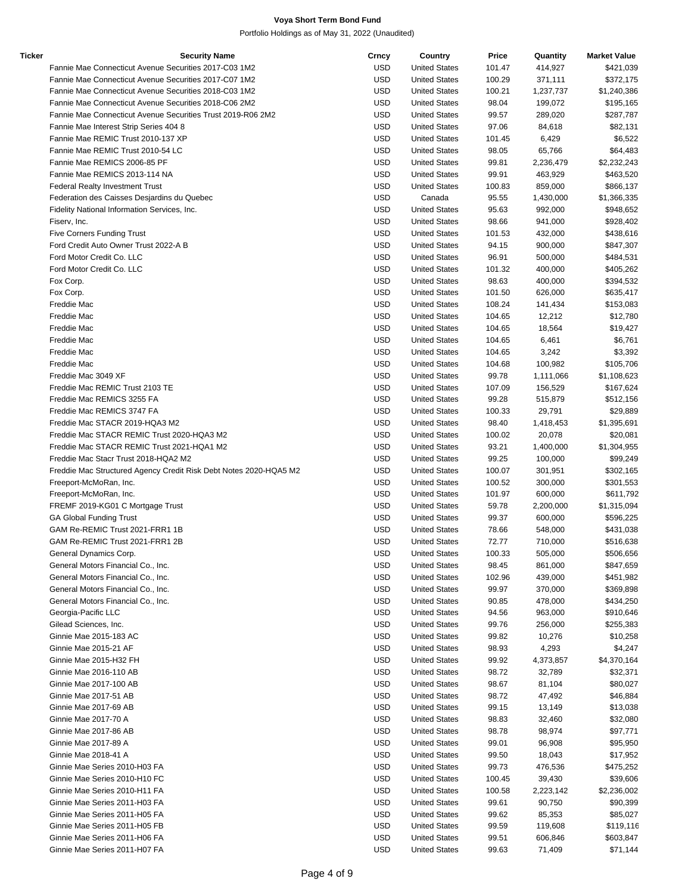| Ticker | <b>Security Name</b>                                              | Crncy      | Country              | Price  | Quantity  | <b>Market Value</b> |
|--------|-------------------------------------------------------------------|------------|----------------------|--------|-----------|---------------------|
|        | Fannie Mae Connecticut Avenue Securities 2017-C03 1M2             | <b>USD</b> | <b>United States</b> | 101.47 | 414,927   | \$421,039           |
|        | Fannie Mae Connecticut Avenue Securities 2017-C07 1M2             | <b>USD</b> | <b>United States</b> | 100.29 | 371,111   | \$372,175           |
|        | Fannie Mae Connecticut Avenue Securities 2018-C03 1M2             | <b>USD</b> | <b>United States</b> | 100.21 | 1,237,737 | \$1,240,386         |
|        | Fannie Mae Connecticut Avenue Securities 2018-C06 2M2             | <b>USD</b> | <b>United States</b> | 98.04  | 199,072   | \$195,165           |
|        | Fannie Mae Connecticut Avenue Securities Trust 2019-R06 2M2       | <b>USD</b> | <b>United States</b> | 99.57  | 289,020   | \$287,787           |
|        | Fannie Mae Interest Strip Series 404 8                            | <b>USD</b> | <b>United States</b> | 97.06  | 84,618    | \$82,131            |
|        | Fannie Mae REMIC Trust 2010-137 XP                                | <b>USD</b> | <b>United States</b> | 101.45 | 6,429     | \$6,522             |
|        | Fannie Mae REMIC Trust 2010-54 LC                                 | <b>USD</b> | <b>United States</b> | 98.05  | 65,766    | \$64,483            |
|        | Fannie Mae REMICS 2006-85 PF                                      | <b>USD</b> | <b>United States</b> | 99.81  | 2,236,479 | \$2,232,243         |
|        | Fannie Mae REMICS 2013-114 NA                                     | <b>USD</b> | <b>United States</b> | 99.91  | 463,929   | \$463,520           |
|        | Federal Realty Investment Trust                                   | <b>USD</b> | <b>United States</b> | 100.83 | 859,000   | \$866,137           |
|        | Federation des Caisses Desjardins du Quebec                       | <b>USD</b> | Canada               | 95.55  | 1,430,000 | \$1,366,335         |
|        | Fidelity National Information Services, Inc.                      | <b>USD</b> | <b>United States</b> | 95.63  | 992,000   | \$948,652           |
|        | Fiserv, Inc.                                                      | <b>USD</b> | <b>United States</b> | 98.66  | 941,000   | \$928,402           |
|        | <b>Five Corners Funding Trust</b>                                 | <b>USD</b> | <b>United States</b> | 101.53 | 432,000   | \$438,616           |
|        | Ford Credit Auto Owner Trust 2022-A B                             | <b>USD</b> | <b>United States</b> | 94.15  | 900,000   | \$847,307           |
|        | Ford Motor Credit Co. LLC                                         | <b>USD</b> | <b>United States</b> | 96.91  | 500,000   | \$484,531           |
|        | Ford Motor Credit Co. LLC                                         | <b>USD</b> | <b>United States</b> | 101.32 | 400,000   | \$405,262           |
|        | Fox Corp.                                                         | <b>USD</b> | <b>United States</b> | 98.63  | 400,000   | \$394,532           |
|        | Fox Corp.                                                         | <b>USD</b> | <b>United States</b> | 101.50 | 626,000   | \$635,417           |
|        | Freddie Mac                                                       | <b>USD</b> | <b>United States</b> | 108.24 | 141,434   | \$153,083           |
|        | Freddie Mac                                                       | <b>USD</b> | <b>United States</b> | 104.65 | 12,212    | \$12,780            |
|        | Freddie Mac                                                       | <b>USD</b> | <b>United States</b> | 104.65 | 18,564    | \$19,427            |
|        | Freddie Mac                                                       | <b>USD</b> | <b>United States</b> | 104.65 | 6,461     | \$6,761             |
|        | Freddie Mac                                                       | <b>USD</b> | <b>United States</b> | 104.65 | 3,242     | \$3,392             |
|        | Freddie Mac                                                       | <b>USD</b> | <b>United States</b> | 104.68 | 100,982   | \$105,706           |
|        | Freddie Mac 3049 XF                                               | <b>USD</b> | <b>United States</b> | 99.78  | 1,111,066 | \$1,108,623         |
|        | Freddie Mac REMIC Trust 2103 TE                                   | <b>USD</b> | <b>United States</b> | 107.09 | 156,529   | \$167,624           |
|        | Freddie Mac REMICS 3255 FA                                        | <b>USD</b> | <b>United States</b> | 99.28  | 515,879   | \$512,156           |
|        | Freddie Mac REMICS 3747 FA                                        | <b>USD</b> | <b>United States</b> | 100.33 | 29,791    | \$29,889            |
|        | Freddie Mac STACR 2019-HQA3 M2                                    | <b>USD</b> | <b>United States</b> | 98.40  | 1,418,453 | \$1,395,691         |
|        | Freddie Mac STACR REMIC Trust 2020-HQA3 M2                        | <b>USD</b> | <b>United States</b> | 100.02 | 20,078    | \$20,081            |
|        | Freddie Mac STACR REMIC Trust 2021-HQA1 M2                        | <b>USD</b> | <b>United States</b> | 93.21  | 1,400,000 | \$1,304,955         |
|        | Freddie Mac Stacr Trust 2018-HQA2 M2                              | <b>USD</b> | <b>United States</b> | 99.25  | 100,000   | \$99,249            |
|        | Freddie Mac Structured Agency Credit Risk Debt Notes 2020-HQA5 M2 | <b>USD</b> | <b>United States</b> | 100.07 | 301,951   | \$302,165           |
|        | Freeport-McMoRan, Inc.                                            | <b>USD</b> | <b>United States</b> | 100.52 | 300,000   | \$301,553           |
|        | Freeport-McMoRan, Inc.                                            | <b>USD</b> | <b>United States</b> | 101.97 | 600,000   | \$611,792           |
|        | FREMF 2019-KG01 C Mortgage Trust                                  | <b>USD</b> | <b>United States</b> | 59.78  | 2,200,000 | \$1,315,094         |
|        | <b>GA Global Funding Trust</b>                                    | <b>USD</b> | <b>United States</b> | 99.37  | 600,000   | \$596,225           |
|        | GAM Re-REMIC Trust 2021-FRR1 1B                                   | <b>USD</b> | <b>United States</b> | 78.66  | 548,000   | \$431,038           |
|        | GAM Re-REMIC Trust 2021-FRR1 2B                                   | <b>USD</b> | <b>United States</b> | 72.77  | 710,000   | \$516,638           |
|        | General Dynamics Corp.                                            | <b>USD</b> | <b>United States</b> | 100.33 | 505,000   | \$506,656           |
|        | General Motors Financial Co., Inc.                                | <b>USD</b> | <b>United States</b> | 98.45  | 861,000   | \$847,659           |
|        | General Motors Financial Co., Inc.                                | <b>USD</b> | <b>United States</b> | 102.96 | 439,000   | \$451,982           |
|        | General Motors Financial Co., Inc.                                | <b>USD</b> | <b>United States</b> | 99.97  | 370,000   | \$369,898           |
|        | General Motors Financial Co., Inc.                                | <b>USD</b> | <b>United States</b> | 90.85  | 478,000   | \$434,250           |
|        | Georgia-Pacific LLC                                               | <b>USD</b> | <b>United States</b> | 94.56  | 963,000   | \$910,646           |
|        | Gilead Sciences, Inc.                                             | <b>USD</b> | <b>United States</b> | 99.76  | 256,000   | \$255,383           |
|        | Ginnie Mae 2015-183 AC                                            | <b>USD</b> | <b>United States</b> | 99.82  | 10,276    | \$10,258            |
|        | Ginnie Mae 2015-21 AF                                             | <b>USD</b> | <b>United States</b> | 98.93  | 4,293     | \$4,247             |
|        | Ginnie Mae 2015-H32 FH                                            | <b>USD</b> | <b>United States</b> | 99.92  | 4,373,857 | \$4,370,164         |
|        | Ginnie Mae 2016-110 AB                                            | <b>USD</b> | <b>United States</b> | 98.72  | 32,789    | \$32,371            |
|        | Ginnie Mae 2017-100 AB                                            | <b>USD</b> | <b>United States</b> | 98.67  | 81,104    | \$80,027            |
|        | Ginnie Mae 2017-51 AB                                             | <b>USD</b> | <b>United States</b> | 98.72  | 47,492    | \$46,884            |
|        | Ginnie Mae 2017-69 AB                                             | <b>USD</b> | <b>United States</b> | 99.15  | 13,149    | \$13,038            |
|        | Ginnie Mae 2017-70 A                                              | <b>USD</b> | <b>United States</b> | 98.83  | 32,460    | \$32,080            |
|        | Ginnie Mae 2017-86 AB                                             | <b>USD</b> | <b>United States</b> | 98.78  | 98,974    | \$97,771            |
|        | Ginnie Mae 2017-89 A                                              | <b>USD</b> | <b>United States</b> | 99.01  | 96,908    | \$95,950            |
|        | Ginnie Mae 2018-41 A                                              | <b>USD</b> | <b>United States</b> | 99.50  | 18,043    | \$17,952            |
|        | Ginnie Mae Series 2010-H03 FA                                     | <b>USD</b> | <b>United States</b> | 99.73  | 476,536   | \$475,252           |
|        | Ginnie Mae Series 2010-H10 FC                                     | <b>USD</b> | <b>United States</b> | 100.45 | 39,430    | \$39,606            |
|        | Ginnie Mae Series 2010-H11 FA                                     | <b>USD</b> | <b>United States</b> | 100.58 | 2,223,142 | \$2,236,002         |
|        | Ginnie Mae Series 2011-H03 FA                                     | <b>USD</b> | <b>United States</b> | 99.61  | 90,750    | \$90,399            |
|        | Ginnie Mae Series 2011-H05 FA                                     | <b>USD</b> | <b>United States</b> | 99.62  | 85,353    | \$85,027            |
|        | Ginnie Mae Series 2011-H05 FB                                     | <b>USD</b> | <b>United States</b> | 99.59  | 119,608   | \$119,116           |
|        | Ginnie Mae Series 2011-H06 FA                                     | <b>USD</b> | <b>United States</b> | 99.51  | 606,846   | \$603,847           |
|        | Ginnie Mae Series 2011-H07 FA                                     | <b>USD</b> | <b>United States</b> | 99.63  | 71,409    | \$71,144            |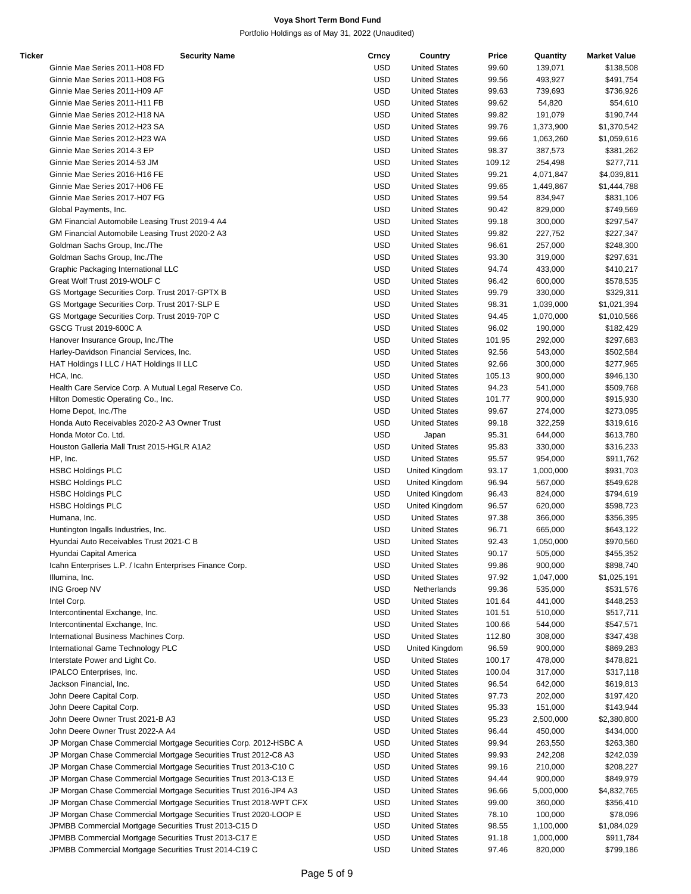| Ticker | <b>Security Name</b>                                              | Crncy      | Country              | Price  | Quantity  | <b>Market Value</b> |
|--------|-------------------------------------------------------------------|------------|----------------------|--------|-----------|---------------------|
|        | Ginnie Mae Series 2011-H08 FD                                     | USD        | <b>United States</b> | 99.60  | 139,071   | \$138,508           |
|        | Ginnie Mae Series 2011-H08 FG                                     | USD        | <b>United States</b> | 99.56  | 493,927   | \$491,754           |
|        | Ginnie Mae Series 2011-H09 AF                                     | <b>USD</b> | <b>United States</b> | 99.63  | 739,693   | \$736,926           |
|        | Ginnie Mae Series 2011-H11 FB                                     | <b>USD</b> | <b>United States</b> | 99.62  | 54,820    | \$54,610            |
|        | Ginnie Mae Series 2012-H18 NA                                     | <b>USD</b> | <b>United States</b> | 99.82  | 191,079   | \$190,744           |
|        | Ginnie Mae Series 2012-H23 SA                                     | <b>USD</b> | <b>United States</b> | 99.76  | 1,373,900 | \$1,370,542         |
|        | Ginnie Mae Series 2012-H23 WA                                     | <b>USD</b> | <b>United States</b> | 99.66  | 1,063,260 | \$1,059,616         |
|        | Ginnie Mae Series 2014-3 EP                                       | <b>USD</b> | <b>United States</b> | 98.37  | 387,573   | \$381,262           |
|        |                                                                   |            |                      |        |           |                     |
|        | Ginnie Mae Series 2014-53 JM                                      | USD        | <b>United States</b> | 109.12 | 254,498   | \$277,711           |
|        | Ginnie Mae Series 2016-H16 FE                                     | USD        | <b>United States</b> | 99.21  | 4,071,847 | \$4,039,811         |
|        | Ginnie Mae Series 2017-H06 FE                                     | <b>USD</b> | <b>United States</b> | 99.65  | 1,449,867 | \$1,444,788         |
|        | Ginnie Mae Series 2017-H07 FG                                     | <b>USD</b> | <b>United States</b> | 99.54  | 834,947   | \$831,106           |
|        | Global Payments, Inc.                                             | <b>USD</b> | <b>United States</b> | 90.42  | 829,000   | \$749,569           |
|        | GM Financial Automobile Leasing Trust 2019-4 A4                   | <b>USD</b> | <b>United States</b> | 99.18  | 300,000   | \$297,547           |
|        | GM Financial Automobile Leasing Trust 2020-2 A3                   | <b>USD</b> | <b>United States</b> | 99.82  | 227,752   | \$227,347           |
|        | Goldman Sachs Group, Inc./The                                     | <b>USD</b> | <b>United States</b> | 96.61  | 257,000   | \$248,300           |
|        | Goldman Sachs Group, Inc./The                                     | USD        | <b>United States</b> | 93.30  | 319,000   | \$297,631           |
|        | Graphic Packaging International LLC                               | USD        | <b>United States</b> | 94.74  | 433,000   | \$410,217           |
|        | Great Wolf Trust 2019-WOLF C                                      | <b>USD</b> | <b>United States</b> | 96.42  | 600,000   | \$578,535           |
|        | GS Mortgage Securities Corp. Trust 2017-GPTX B                    | <b>USD</b> | <b>United States</b> | 99.79  | 330,000   | \$329,311           |
|        | GS Mortgage Securities Corp. Trust 2017-SLP E                     | USD        | <b>United States</b> | 98.31  | 1,039,000 | \$1,021,394         |
|        | GS Mortgage Securities Corp. Trust 2019-70P C                     | <b>USD</b> | <b>United States</b> | 94.45  | 1,070,000 | \$1,010,566         |
|        |                                                                   |            |                      |        |           |                     |
|        | GSCG Trust 2019-600C A                                            | <b>USD</b> | <b>United States</b> | 96.02  | 190,000   | \$182,429           |
|        | Hanover Insurance Group, Inc./The                                 | <b>USD</b> | <b>United States</b> | 101.95 | 292,000   | \$297,683           |
|        | Harley-Davidson Financial Services, Inc.                          | USD        | <b>United States</b> | 92.56  | 543,000   | \$502,584           |
|        | HAT Holdings I LLC / HAT Holdings II LLC                          | USD        | <b>United States</b> | 92.66  | 300,000   | \$277,965           |
|        | HCA, Inc.                                                         | <b>USD</b> | <b>United States</b> | 105.13 | 900,000   | \$946,130           |
|        | Health Care Service Corp. A Mutual Legal Reserve Co.              | <b>USD</b> | <b>United States</b> | 94.23  | 541,000   | \$509,768           |
|        | Hilton Domestic Operating Co., Inc.                               | USD        | <b>United States</b> | 101.77 | 900,000   | \$915,930           |
|        | Home Depot, Inc./The                                              | <b>USD</b> | <b>United States</b> | 99.67  | 274,000   | \$273,095           |
|        | Honda Auto Receivables 2020-2 A3 Owner Trust                      | <b>USD</b> | <b>United States</b> | 99.18  | 322,259   | \$319,616           |
|        | Honda Motor Co. Ltd.                                              | <b>USD</b> | Japan                | 95.31  | 644,000   | \$613,780           |
|        | Houston Galleria Mall Trust 2015-HGLR A1A2                        | USD        | <b>United States</b> | 95.83  | 330,000   | \$316,233           |
|        | HP, Inc.                                                          | <b>USD</b> | <b>United States</b> | 95.57  | 954,000   | \$911,762           |
|        | <b>HSBC Holdings PLC</b>                                          | <b>USD</b> | United Kingdom       | 93.17  | 1,000,000 | \$931,703           |
|        |                                                                   |            |                      |        |           |                     |
|        | <b>HSBC Holdings PLC</b>                                          | <b>USD</b> | United Kingdom       | 96.94  | 567,000   | \$549,628           |
|        | <b>HSBC Holdings PLC</b>                                          | USD        | United Kingdom       | 96.43  | 824,000   | \$794,619           |
|        | <b>HSBC Holdings PLC</b>                                          | <b>USD</b> | United Kingdom       | 96.57  | 620,000   | \$598,723           |
|        | Humana, Inc.                                                      | <b>USD</b> | <b>United States</b> | 97.38  | 366,000   | \$356,395           |
|        | Huntington Ingalls Industries, Inc.                               | <b>USD</b> | <b>United States</b> | 96.71  | 665,000   | \$643,122           |
|        | Hyundai Auto Receivables Trust 2021-C B                           | USD        | <b>United States</b> | 92.43  | 1,050,000 | \$970,560           |
|        | Hyundai Capital America                                           | <b>USD</b> | <b>United States</b> | 90.17  | 505,000   | \$455,352           |
|        | Icahn Enterprises L.P. / Icahn Enterprises Finance Corp.          | <b>USD</b> | <b>United States</b> | 99.86  | 900,000   | \$898,740           |
|        | Illumina, Inc.                                                    | <b>USD</b> | <b>United States</b> | 97.92  | 1,047,000 | \$1,025,191         |
|        | <b>ING Groep NV</b>                                               | <b>USD</b> | Netherlands          | 99.36  | 535,000   | \$531,576           |
|        | Intel Corp.                                                       | <b>USD</b> | <b>United States</b> | 101.64 | 441,000   | \$448,253           |
|        | Intercontinental Exchange, Inc.                                   | USD        | <b>United States</b> | 101.51 | 510,000   | \$517,711           |
|        | Intercontinental Exchange, Inc.                                   | <b>USD</b> | <b>United States</b> | 100.66 | 544,000   | \$547,571           |
|        |                                                                   |            |                      |        |           |                     |
|        | International Business Machines Corp.                             | USD        | <b>United States</b> | 112.80 | 308,000   | \$347,438           |
|        | International Game Technology PLC                                 | <b>USD</b> | United Kingdom       | 96.59  | 900,000   | \$869,283           |
|        | Interstate Power and Light Co.                                    | <b>USD</b> | <b>United States</b> | 100.17 | 478,000   | \$478,821           |
|        | IPALCO Enterprises, Inc.                                          | <b>USD</b> | <b>United States</b> | 100.04 | 317,000   | \$317,118           |
|        | Jackson Financial, Inc.                                           | <b>USD</b> | <b>United States</b> | 96.54  | 642,000   | \$619,813           |
|        | John Deere Capital Corp.                                          | USD        | <b>United States</b> | 97.73  | 202,000   | \$197,420           |
|        | John Deere Capital Corp.                                          | USD        | <b>United States</b> | 95.33  | 151,000   | \$143,944           |
|        | John Deere Owner Trust 2021-B A3                                  | <b>USD</b> | <b>United States</b> | 95.23  | 2,500,000 | \$2,380,800         |
|        | John Deere Owner Trust 2022-A A4                                  | <b>USD</b> | <b>United States</b> | 96.44  | 450,000   | \$434,000           |
|        | JP Morgan Chase Commercial Mortgage Securities Corp. 2012-HSBC A  | USD        | <b>United States</b> | 99.94  | 263,550   | \$263,380           |
|        | JP Morgan Chase Commercial Mortgage Securities Trust 2012-C8 A3   | USD        | <b>United States</b> | 99.93  | 242,208   | \$242,039           |
|        | JP Morgan Chase Commercial Mortgage Securities Trust 2013-C10 C   | <b>USD</b> | <b>United States</b> | 99.16  | 210,000   | \$208,227           |
|        | JP Morgan Chase Commercial Mortgage Securities Trust 2013-C13 E   | USD        | <b>United States</b> | 94.44  | 900,000   | \$849,979           |
|        |                                                                   |            |                      |        |           |                     |
|        | JP Morgan Chase Commercial Mortgage Securities Trust 2016-JP4 A3  | USD        | <b>United States</b> | 96.66  | 5,000,000 | \$4,832,765         |
|        | JP Morgan Chase Commercial Mortgage Securities Trust 2018-WPT CFX | USD        | <b>United States</b> | 99.00  | 360,000   | \$356,410           |
|        | JP Morgan Chase Commercial Mortgage Securities Trust 2020-LOOP E  | USD        | <b>United States</b> | 78.10  | 100,000   | \$78,096            |
|        | JPMBB Commercial Mortgage Securities Trust 2013-C15 D             | <b>USD</b> | <b>United States</b> | 98.55  | 1,100,000 | \$1,084,029         |
|        | JPMBB Commercial Mortgage Securities Trust 2013-C17 E             | <b>USD</b> | <b>United States</b> | 91.18  | 1,000,000 | \$911,784           |
|        | JPMBB Commercial Mortgage Securities Trust 2014-C19 C             | <b>USD</b> | <b>United States</b> | 97.46  | 820,000   | \$799,186           |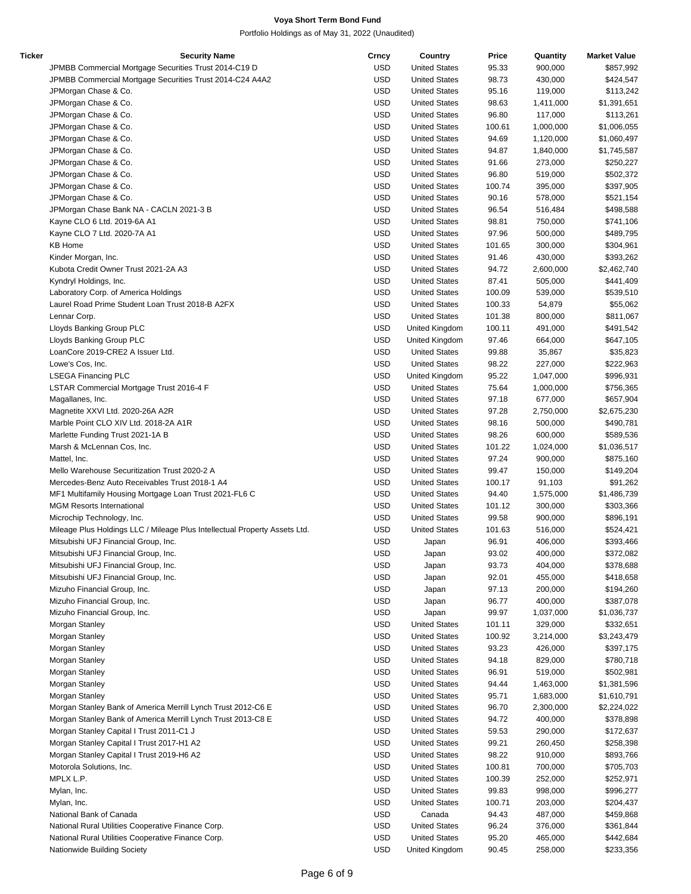| Ticker | <b>Security Name</b>                                                       | Crncy      | Country              | Price  | Quantity  | <b>Market Value</b> |
|--------|----------------------------------------------------------------------------|------------|----------------------|--------|-----------|---------------------|
|        | JPMBB Commercial Mortgage Securities Trust 2014-C19 D                      | <b>USD</b> | <b>United States</b> | 95.33  | 900,000   | \$857,992           |
|        | JPMBB Commercial Mortgage Securities Trust 2014-C24 A4A2                   | <b>USD</b> | <b>United States</b> | 98.73  | 430,000   | \$424,547           |
|        | JPMorgan Chase & Co.                                                       | <b>USD</b> | <b>United States</b> | 95.16  | 119,000   | \$113,242           |
|        | JPMorgan Chase & Co.                                                       | <b>USD</b> | <b>United States</b> | 98.63  | 1,411,000 | \$1,391,651         |
|        | JPMorgan Chase & Co.                                                       | <b>USD</b> | <b>United States</b> | 96.80  | 117,000   | \$113,261           |
|        | JPMorgan Chase & Co.                                                       | <b>USD</b> | <b>United States</b> | 100.61 | 1,000,000 | \$1,006,055         |
|        | JPMorgan Chase & Co.                                                       | <b>USD</b> | <b>United States</b> | 94.69  | 1,120,000 | \$1,060,497         |
|        |                                                                            | <b>USD</b> | <b>United States</b> |        |           |                     |
|        | JPMorgan Chase & Co.                                                       |            |                      | 94.87  | 1,840,000 | \$1,745,587         |
|        | JPMorgan Chase & Co.                                                       | <b>USD</b> | <b>United States</b> | 91.66  | 273,000   | \$250,227           |
|        | JPMorgan Chase & Co.                                                       | <b>USD</b> | <b>United States</b> | 96.80  | 519,000   | \$502,372           |
|        | JPMorgan Chase & Co.                                                       | <b>USD</b> | <b>United States</b> | 100.74 | 395,000   | \$397,905           |
|        | JPMorgan Chase & Co.                                                       | <b>USD</b> | <b>United States</b> | 90.16  | 578,000   | \$521,154           |
|        | JPMorgan Chase Bank NA - CACLN 2021-3 B                                    | <b>USD</b> | <b>United States</b> | 96.54  | 516,484   | \$498,588           |
|        | Kayne CLO 6 Ltd. 2019-6A A1                                                | <b>USD</b> | <b>United States</b> | 98.81  | 750,000   | \$741,106           |
|        | Kayne CLO 7 Ltd. 2020-7A A1                                                | <b>USD</b> | <b>United States</b> | 97.96  | 500,000   | \$489,795           |
|        | <b>KB Home</b>                                                             | <b>USD</b> | <b>United States</b> | 101.65 | 300,000   | \$304,961           |
|        | Kinder Morgan, Inc.                                                        | <b>USD</b> | <b>United States</b> | 91.46  | 430,000   | \$393,262           |
|        | Kubota Credit Owner Trust 2021-2A A3                                       | <b>USD</b> | <b>United States</b> | 94.72  | 2,600,000 | \$2,462,740         |
|        | Kyndryl Holdings, Inc.                                                     | <b>USD</b> | <b>United States</b> | 87.41  | 505,000   | \$441,409           |
|        | Laboratory Corp. of America Holdings                                       | <b>USD</b> | <b>United States</b> | 100.09 | 539,000   | \$539,510           |
|        |                                                                            | <b>USD</b> |                      |        |           |                     |
|        | Laurel Road Prime Student Loan Trust 2018-B A2FX                           |            | <b>United States</b> | 100.33 | 54,879    | \$55,062            |
|        | Lennar Corp.                                                               | <b>USD</b> | <b>United States</b> | 101.38 | 800,000   | \$811,067           |
|        | Lloyds Banking Group PLC                                                   | <b>USD</b> | United Kingdom       | 100.11 | 491,000   | \$491,542           |
|        | Lloyds Banking Group PLC                                                   | <b>USD</b> | United Kingdom       | 97.46  | 664,000   | \$647,105           |
|        | LoanCore 2019-CRE2 A Issuer Ltd.                                           | <b>USD</b> | <b>United States</b> | 99.88  | 35,867    | \$35,823            |
|        | Lowe's Cos, Inc.                                                           | <b>USD</b> | <b>United States</b> | 98.22  | 227,000   | \$222,963           |
|        | <b>LSEGA Financing PLC</b>                                                 | <b>USD</b> | United Kingdom       | 95.22  | 1,047,000 | \$996,931           |
|        | LSTAR Commercial Mortgage Trust 2016-4 F                                   | <b>USD</b> | <b>United States</b> | 75.64  | 1,000,000 | \$756,365           |
|        | Magallanes, Inc.                                                           | <b>USD</b> | <b>United States</b> | 97.18  | 677,000   | \$657,904           |
|        | Magnetite XXVI Ltd. 2020-26A A2R                                           | <b>USD</b> | <b>United States</b> | 97.28  | 2,750,000 | \$2,675,230         |
|        | Marble Point CLO XIV Ltd. 2018-2A A1R                                      | <b>USD</b> | <b>United States</b> | 98.16  | 500,000   | \$490,781           |
|        | Marlette Funding Trust 2021-1A B                                           | <b>USD</b> | <b>United States</b> | 98.26  | 600,000   | \$589,536           |
|        | Marsh & McLennan Cos, Inc.                                                 | <b>USD</b> | <b>United States</b> | 101.22 | 1,024,000 | \$1,036,517         |
|        |                                                                            |            |                      |        |           |                     |
|        | Mattel, Inc.                                                               | <b>USD</b> | <b>United States</b> | 97.24  | 900,000   | \$875,160           |
|        | Mello Warehouse Securitization Trust 2020-2 A                              | <b>USD</b> | <b>United States</b> | 99.47  | 150,000   | \$149,204           |
|        | Mercedes-Benz Auto Receivables Trust 2018-1 A4                             | <b>USD</b> | <b>United States</b> | 100.17 | 91,103    | \$91,262            |
|        | MF1 Multifamily Housing Mortgage Loan Trust 2021-FL6 C                     | <b>USD</b> | <b>United States</b> | 94.40  | 1,575,000 | \$1,486,739         |
|        | <b>MGM Resorts International</b>                                           | <b>USD</b> | <b>United States</b> | 101.12 | 300,000   | \$303,366           |
|        | Microchip Technology, Inc.                                                 | <b>USD</b> | <b>United States</b> | 99.58  | 900,000   | \$896,191           |
|        | Mileage Plus Holdings LLC / Mileage Plus Intellectual Property Assets Ltd. | <b>USD</b> | <b>United States</b> | 101.63 | 516,000   | \$524,421           |
|        | Mitsubishi UFJ Financial Group, Inc.                                       | <b>USD</b> | Japan                | 96.91  | 406,000   | \$393,466           |
|        | Mitsubishi UFJ Financial Group, Inc.                                       | USD        | Japan                | 93.02  | 400,000   | \$372,082           |
|        | Mitsubishi UFJ Financial Group, Inc.                                       | <b>USD</b> | Japan                | 93.73  | 404,000   | \$378,688           |
|        | Mitsubishi UFJ Financial Group, Inc.                                       | <b>USD</b> | Japan                | 92.01  | 455,000   | \$418,658           |
|        | Mizuho Financial Group, Inc.                                               | <b>USD</b> | Japan                | 97.13  | 200,000   | \$194,260           |
|        | Mizuho Financial Group, Inc.                                               | <b>USD</b> | Japan                | 96.77  | 400,000   | \$387,078           |
|        | Mizuho Financial Group, Inc.                                               | <b>USD</b> | Japan                | 99.97  | 1,037,000 | \$1,036,737         |
|        |                                                                            |            |                      |        |           |                     |
|        | Morgan Stanley                                                             | <b>USD</b> | <b>United States</b> | 101.11 | 329,000   | \$332,651           |
|        | Morgan Stanley                                                             | <b>USD</b> | <b>United States</b> | 100.92 | 3,214,000 | \$3,243,479         |
|        | Morgan Stanley                                                             | <b>USD</b> | <b>United States</b> | 93.23  | 426,000   | \$397,175           |
|        | Morgan Stanley                                                             | <b>USD</b> | <b>United States</b> | 94.18  | 829,000   | \$780,718           |
|        | Morgan Stanley                                                             | <b>USD</b> | <b>United States</b> | 96.91  | 519,000   | \$502,981           |
|        | Morgan Stanley                                                             | <b>USD</b> | <b>United States</b> | 94.44  | 1,463,000 | \$1,381,596         |
|        | Morgan Stanley                                                             | <b>USD</b> | <b>United States</b> | 95.71  | 1,683,000 | \$1,610,791         |
|        | Morgan Stanley Bank of America Merrill Lynch Trust 2012-C6 E               | <b>USD</b> | <b>United States</b> | 96.70  | 2,300,000 | \$2,224,022         |
|        | Morgan Stanley Bank of America Merrill Lynch Trust 2013-C8 E               | <b>USD</b> | <b>United States</b> | 94.72  | 400,000   | \$378,898           |
|        | Morgan Stanley Capital I Trust 2011-C1 J                                   | <b>USD</b> | <b>United States</b> | 59.53  | 290,000   | \$172,637           |
|        | Morgan Stanley Capital I Trust 2017-H1 A2                                  | <b>USD</b> | <b>United States</b> | 99.21  | 260,450   | \$258,398           |
|        |                                                                            | <b>USD</b> |                      |        |           |                     |
|        | Morgan Stanley Capital I Trust 2019-H6 A2                                  |            | <b>United States</b> | 98.22  | 910,000   | \$893,766           |
|        | Motorola Solutions, Inc.                                                   | <b>USD</b> | <b>United States</b> | 100.81 | 700,000   | \$705,703           |
|        | MPLX L.P.                                                                  | <b>USD</b> | <b>United States</b> | 100.39 | 252,000   | \$252,971           |
|        | Mylan, Inc.                                                                | <b>USD</b> | <b>United States</b> | 99.83  | 998,000   | \$996,277           |
|        | Mylan, Inc.                                                                | <b>USD</b> | <b>United States</b> | 100.71 | 203,000   | \$204,437           |
|        | National Bank of Canada                                                    | USD        | Canada               | 94.43  | 487,000   | \$459,868           |
|        | National Rural Utilities Cooperative Finance Corp.                         | <b>USD</b> | <b>United States</b> | 96.24  | 376,000   | \$361,844           |
|        | National Rural Utilities Cooperative Finance Corp.                         | <b>USD</b> | <b>United States</b> | 95.20  | 465,000   | \$442,684           |
|        | Nationwide Building Society                                                | <b>USD</b> | United Kingdom       | 90.45  | 258,000   | \$233,356           |
|        |                                                                            |            |                      |        |           |                     |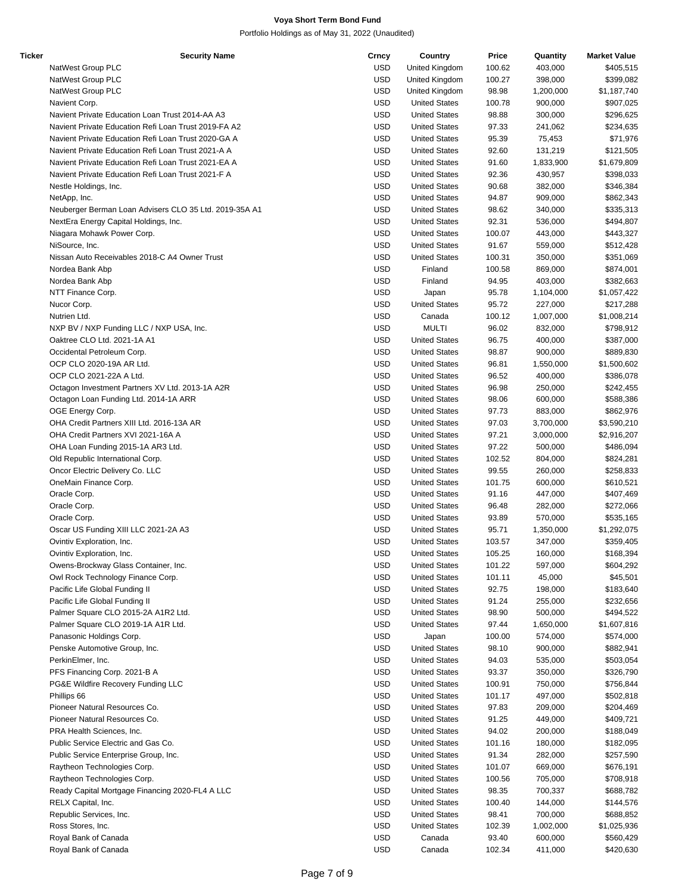| <b>Ticker</b> | <b>Security Name</b>                                   | Crncy      | Country              | <b>Price</b> | Quantity  | <b>Market Value</b> |
|---------------|--------------------------------------------------------|------------|----------------------|--------------|-----------|---------------------|
|               | NatWest Group PLC                                      | <b>USD</b> | United Kingdom       | 100.62       | 403,000   | \$405,515           |
|               | NatWest Group PLC                                      | <b>USD</b> | United Kingdom       | 100.27       | 398,000   | \$399,082           |
|               | NatWest Group PLC                                      | <b>USD</b> | United Kingdom       | 98.98        | 1,200,000 | \$1,187,740         |
|               | Navient Corp.                                          | <b>USD</b> | <b>United States</b> | 100.78       | 900,000   | \$907,025           |
|               | Navient Private Education Loan Trust 2014-AA A3        | <b>USD</b> | <b>United States</b> | 98.88        | 300,000   | \$296,625           |
|               | Navient Private Education Refi Loan Trust 2019-FA A2   | <b>USD</b> | <b>United States</b> | 97.33        | 241,062   | \$234,635           |
|               | Navient Private Education Refi Loan Trust 2020-GA A    | <b>USD</b> | <b>United States</b> | 95.39        | 75,453    | \$71,976            |
|               |                                                        | <b>USD</b> | <b>United States</b> |              |           |                     |
|               | Navient Private Education Refi Loan Trust 2021-A A     |            |                      | 92.60        | 131,219   | \$121,505           |
|               | Navient Private Education Refi Loan Trust 2021-EA A    | <b>USD</b> | <b>United States</b> | 91.60        | 1,833,900 | \$1,679,809         |
|               | Navient Private Education Refi Loan Trust 2021-F A     | <b>USD</b> | <b>United States</b> | 92.36        | 430,957   | \$398,033           |
|               | Nestle Holdings, Inc.                                  | <b>USD</b> | <b>United States</b> | 90.68        | 382,000   | \$346,384           |
|               | NetApp, Inc.                                           | <b>USD</b> | <b>United States</b> | 94.87        | 909,000   | \$862,343           |
|               | Neuberger Berman Loan Advisers CLO 35 Ltd. 2019-35A A1 | <b>USD</b> | <b>United States</b> | 98.62        | 340,000   | \$335,313           |
|               | NextEra Energy Capital Holdings, Inc.                  | <b>USD</b> | <b>United States</b> | 92.31        | 536,000   | \$494,807           |
|               | Niagara Mohawk Power Corp.                             | <b>USD</b> | <b>United States</b> | 100.07       | 443,000   | \$443,327           |
|               | NiSource, Inc.                                         | <b>USD</b> | <b>United States</b> | 91.67        | 559,000   | \$512,428           |
|               | Nissan Auto Receivables 2018-C A4 Owner Trust          | <b>USD</b> | <b>United States</b> | 100.31       | 350,000   | \$351,069           |
|               | Nordea Bank Abp                                        | <b>USD</b> | Finland              | 100.58       | 869,000   | \$874,001           |
|               | Nordea Bank Abp                                        | <b>USD</b> | Finland              | 94.95        | 403,000   | \$382,663           |
|               | NTT Finance Corp.                                      | <b>USD</b> |                      | 95.78        | 1,104,000 | \$1,057,422         |
|               |                                                        |            | Japan                |              |           |                     |
|               | Nucor Corp.                                            | <b>USD</b> | <b>United States</b> | 95.72        | 227,000   | \$217,288           |
|               | Nutrien Ltd.                                           | <b>USD</b> | Canada               | 100.12       | 1,007,000 | \$1,008,214         |
|               | NXP BV / NXP Funding LLC / NXP USA, Inc.               | <b>USD</b> | <b>MULTI</b>         | 96.02        | 832,000   | \$798,912           |
|               | Oaktree CLO Ltd. 2021-1A A1                            | <b>USD</b> | <b>United States</b> | 96.75        | 400,000   | \$387,000           |
|               | Occidental Petroleum Corp.                             | <b>USD</b> | <b>United States</b> | 98.87        | 900,000   | \$889,830           |
|               | OCP CLO 2020-19A AR Ltd.                               | <b>USD</b> | <b>United States</b> | 96.81        | 1,550,000 | \$1,500,602         |
|               | OCP CLO 2021-22A A Ltd.                                | <b>USD</b> | <b>United States</b> | 96.52        | 400,000   | \$386,078           |
|               | Octagon Investment Partners XV Ltd. 2013-1A A2R        | <b>USD</b> | <b>United States</b> | 96.98        | 250,000   | \$242,455           |
|               | Octagon Loan Funding Ltd. 2014-1A ARR                  | <b>USD</b> | <b>United States</b> | 98.06        | 600,000   | \$588,386           |
|               | OGE Energy Corp.                                       | <b>USD</b> | <b>United States</b> | 97.73        | 883,000   | \$862,976           |
|               |                                                        |            |                      |              |           |                     |
|               | OHA Credit Partners XIII Ltd. 2016-13A AR              | <b>USD</b> | <b>United States</b> | 97.03        | 3,700,000 | \$3,590,210         |
|               | OHA Credit Partners XVI 2021-16A A                     | <b>USD</b> | <b>United States</b> | 97.21        | 3,000,000 | \$2,916,207         |
|               | OHA Loan Funding 2015-1A AR3 Ltd.                      | <b>USD</b> | <b>United States</b> | 97.22        | 500,000   | \$486,094           |
|               | Old Republic International Corp.                       | <b>USD</b> | <b>United States</b> | 102.52       | 804,000   | \$824,281           |
|               | Oncor Electric Delivery Co. LLC                        | <b>USD</b> | <b>United States</b> | 99.55        | 260,000   | \$258,833           |
|               | OneMain Finance Corp.                                  | <b>USD</b> | <b>United States</b> | 101.75       | 600,000   | \$610,521           |
|               | Oracle Corp.                                           | <b>USD</b> | <b>United States</b> | 91.16        | 447,000   | \$407,469           |
|               | Oracle Corp.                                           | <b>USD</b> | <b>United States</b> | 96.48        | 282,000   | \$272,066           |
|               | Oracle Corp.                                           | <b>USD</b> | <b>United States</b> | 93.89        | 570,000   | \$535,165           |
|               | Oscar US Funding XIII LLC 2021-2A A3                   | <b>USD</b> | <b>United States</b> | 95.71        | 1,350,000 | \$1,292,075         |
|               | Ovintiv Exploration, Inc.                              | <b>USD</b> | <b>United States</b> | 103.57       | 347,000   | \$359,405           |
|               |                                                        | <b>USD</b> |                      |              |           |                     |
|               | Ovintiv Exploration, Inc.                              |            | <b>United States</b> | 105.25       | 160,000   | \$168,394           |
|               | Owens-Brockway Glass Container, Inc.                   | <b>USD</b> | <b>United States</b> | 101.22       | 597,000   | \$604,292           |
|               | Owl Rock Technology Finance Corp.                      | <b>USD</b> | <b>United States</b> | 101.11       | 45,000    | \$45,501            |
|               | Pacific Life Global Funding II                         | <b>USD</b> | <b>United States</b> | 92.75        | 198,000   | \$183,640           |
|               | Pacific Life Global Funding II                         | <b>USD</b> | <b>United States</b> | 91.24        | 255,000   | \$232,656           |
|               | Palmer Square CLO 2015-2A A1R2 Ltd.                    | <b>USD</b> | <b>United States</b> | 98.90        | 500,000   | \$494,522           |
|               | Palmer Square CLO 2019-1A A1R Ltd.                     | <b>USD</b> | <b>United States</b> | 97.44        | 1,650,000 | \$1,607,816         |
|               | Panasonic Holdings Corp.                               | <b>USD</b> | Japan                | 100.00       | 574,000   | \$574,000           |
|               | Penske Automotive Group, Inc.                          | <b>USD</b> | <b>United States</b> | 98.10        | 900,000   | \$882,941           |
|               | PerkinElmer, Inc.                                      | <b>USD</b> | <b>United States</b> | 94.03        | 535,000   | \$503,054           |
|               | PFS Financing Corp. 2021-B A                           | <b>USD</b> | <b>United States</b> | 93.37        | 350,000   | \$326,790           |
|               | PG&E Wildfire Recovery Funding LLC                     | <b>USD</b> | <b>United States</b> | 100.91       | 750,000   | \$756,844           |
|               |                                                        |            |                      |              |           |                     |
|               | Phillips 66                                            | <b>USD</b> | <b>United States</b> | 101.17       | 497,000   | \$502,818           |
|               | Pioneer Natural Resources Co.                          | <b>USD</b> | <b>United States</b> | 97.83        | 209,000   | \$204,469           |
|               | Pioneer Natural Resources Co.                          | <b>USD</b> | <b>United States</b> | 91.25        | 449,000   | \$409,721           |
|               | PRA Health Sciences, Inc.                              | <b>USD</b> | <b>United States</b> | 94.02        | 200,000   | \$188,049           |
|               | Public Service Electric and Gas Co.                    | <b>USD</b> | <b>United States</b> | 101.16       | 180,000   | \$182,095           |
|               | Public Service Enterprise Group, Inc.                  | <b>USD</b> | <b>United States</b> | 91.34        | 282,000   | \$257,590           |
|               | Raytheon Technologies Corp.                            | <b>USD</b> | <b>United States</b> | 101.07       | 669,000   | \$676,191           |
|               | Raytheon Technologies Corp.                            | <b>USD</b> | <b>United States</b> | 100.56       | 705,000   | \$708,918           |
|               | Ready Capital Mortgage Financing 2020-FL4 A LLC        | <b>USD</b> | <b>United States</b> | 98.35        | 700,337   | \$688,782           |
|               |                                                        |            |                      |              |           |                     |
|               | RELX Capital, Inc.                                     | <b>USD</b> | <b>United States</b> | 100.40       | 144,000   | \$144,576           |
|               | Republic Services, Inc.                                | <b>USD</b> | <b>United States</b> | 98.41        | 700,000   | \$688,852           |
|               | Ross Stores, Inc.                                      | <b>USD</b> | <b>United States</b> | 102.39       | 1,002,000 | \$1,025,936         |
|               | Royal Bank of Canada                                   | <b>USD</b> | Canada               | 93.40        | 600,000   | \$560,429           |
|               | Royal Bank of Canada                                   | <b>USD</b> | Canada               | 102.34       | 411,000   | \$420,630           |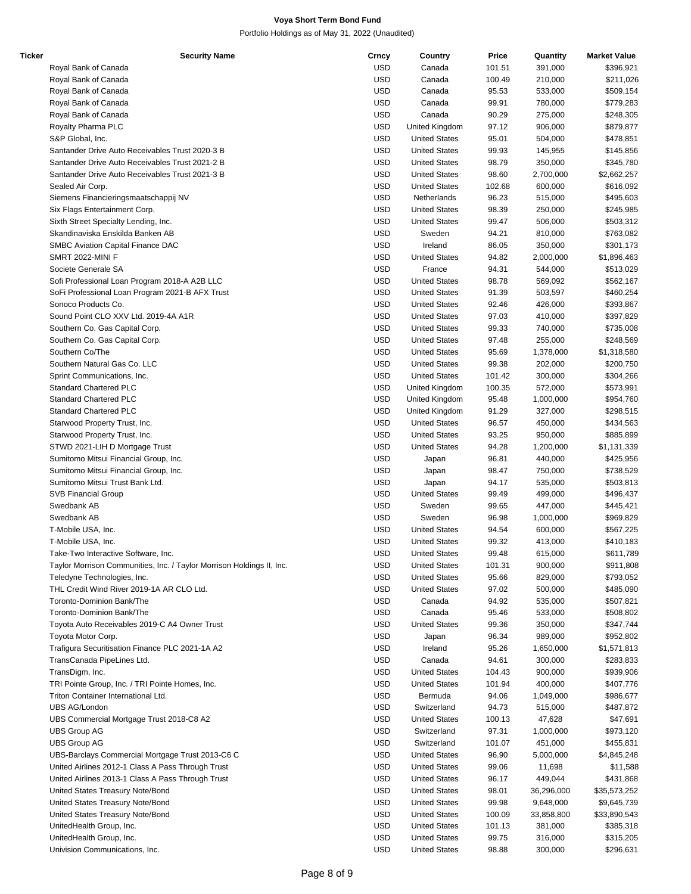| Ticker | <b>Security Name</b>                                                  | Crncy      | Country              | Price  | Quantity   | <b>Market Value</b> |
|--------|-----------------------------------------------------------------------|------------|----------------------|--------|------------|---------------------|
|        | Royal Bank of Canada                                                  | <b>USD</b> | Canada               | 101.51 | 391,000    | \$396,921           |
|        | Royal Bank of Canada                                                  | <b>USD</b> | Canada               | 100.49 | 210,000    | \$211,026           |
|        | Royal Bank of Canada                                                  | <b>USD</b> | Canada               | 95.53  | 533,000    | \$509,154           |
|        | Royal Bank of Canada                                                  | <b>USD</b> | Canada               | 99.91  | 780,000    | \$779,283           |
|        | Royal Bank of Canada                                                  | <b>USD</b> | Canada               | 90.29  | 275,000    | \$248,305           |
|        | Royalty Pharma PLC                                                    | <b>USD</b> | United Kingdom       | 97.12  | 906,000    | \$879,877           |
|        | S&P Global, Inc.                                                      | <b>USD</b> | <b>United States</b> | 95.01  | 504,000    | \$478,851           |
|        | Santander Drive Auto Receivables Trust 2020-3 B                       | <b>USD</b> | <b>United States</b> | 99.93  | 145,955    | \$145,856           |
|        | Santander Drive Auto Receivables Trust 2021-2 B                       | <b>USD</b> | <b>United States</b> | 98.79  | 350,000    | \$345,780           |
|        | Santander Drive Auto Receivables Trust 2021-3 B                       | <b>USD</b> |                      |        |            |                     |
|        |                                                                       |            | <b>United States</b> | 98.60  | 2,700,000  | \$2,662,257         |
|        | Sealed Air Corp.                                                      | <b>USD</b> | <b>United States</b> | 102.68 | 600,000    | \$616,092           |
|        | Siemens Financieringsmaatschappij NV                                  | <b>USD</b> | Netherlands          | 96.23  | 515,000    | \$495,603           |
|        | Six Flags Entertainment Corp.                                         | <b>USD</b> | <b>United States</b> | 98.39  | 250,000    | \$245,985           |
|        | Sixth Street Specialty Lending, Inc.                                  | <b>USD</b> | <b>United States</b> | 99.47  | 506,000    | \$503,312           |
|        | Skandinaviska Enskilda Banken AB                                      | <b>USD</b> | Sweden               | 94.21  | 810,000    | \$763,082           |
|        | SMBC Aviation Capital Finance DAC                                     | <b>USD</b> | Ireland              | 86.05  | 350,000    | \$301,173           |
|        | SMRT 2022-MINI F                                                      | <b>USD</b> | <b>United States</b> | 94.82  | 2,000,000  | \$1,896,463         |
|        | Societe Generale SA                                                   | <b>USD</b> | France               | 94.31  | 544,000    | \$513,029           |
|        | Sofi Professional Loan Program 2018-A A2B LLC                         | <b>USD</b> | <b>United States</b> | 98.78  | 569,092    | \$562,167           |
|        | SoFi Professional Loan Program 2021-B AFX Trust                       | <b>USD</b> | <b>United States</b> | 91.39  | 503,597    | \$460,254           |
|        | Sonoco Products Co.                                                   | <b>USD</b> | <b>United States</b> | 92.46  | 426,000    | \$393,867           |
|        | Sound Point CLO XXV Ltd. 2019-4A A1R                                  | <b>USD</b> | <b>United States</b> | 97.03  | 410,000    | \$397,829           |
|        | Southern Co. Gas Capital Corp.                                        | <b>USD</b> | <b>United States</b> | 99.33  | 740,000    | \$735,008           |
|        | Southern Co. Gas Capital Corp.                                        | <b>USD</b> | <b>United States</b> | 97.48  | 255,000    | \$248,569           |
|        | Southern Co/The                                                       | <b>USD</b> | <b>United States</b> | 95.69  | 1,378,000  | \$1,318,580         |
|        | Southern Natural Gas Co. LLC                                          | <b>USD</b> | <b>United States</b> | 99.38  | 202,000    | \$200,750           |
|        | Sprint Communications, Inc.                                           | <b>USD</b> | <b>United States</b> | 101.42 | 300,000    | \$304,266           |
|        | <b>Standard Chartered PLC</b>                                         | <b>USD</b> | United Kingdom       | 100.35 | 572,000    | \$573,991           |
|        | <b>Standard Chartered PLC</b>                                         | <b>USD</b> |                      |        |            |                     |
|        |                                                                       |            | United Kingdom       | 95.48  | 1,000,000  | \$954,760           |
|        | <b>Standard Chartered PLC</b>                                         | <b>USD</b> | United Kingdom       | 91.29  | 327,000    | \$298,515           |
|        | Starwood Property Trust, Inc.                                         | <b>USD</b> | <b>United States</b> | 96.57  | 450,000    | \$434,563           |
|        | Starwood Property Trust, Inc.                                         | <b>USD</b> | <b>United States</b> | 93.25  | 950,000    | \$885,899           |
|        | STWD 2021-LIH D Mortgage Trust                                        | <b>USD</b> | <b>United States</b> | 94.28  | 1,200,000  | \$1,131,339         |
|        | Sumitomo Mitsui Financial Group, Inc.                                 | <b>USD</b> | Japan                | 96.81  | 440,000    | \$425,956           |
|        | Sumitomo Mitsui Financial Group, Inc.                                 | <b>USD</b> | Japan                | 98.47  | 750,000    | \$738,529           |
|        | Sumitomo Mitsui Trust Bank Ltd.                                       | <b>USD</b> | Japan                | 94.17  | 535,000    | \$503,813           |
|        | <b>SVB Financial Group</b>                                            | <b>USD</b> | <b>United States</b> | 99.49  | 499,000    | \$496,437           |
|        | Swedbank AB                                                           | <b>USD</b> | Sweden               | 99.65  | 447,000    | \$445,421           |
|        | Swedbank AB                                                           | <b>USD</b> | Sweden               | 96.98  | 1,000,000  | \$969,829           |
|        | T-Mobile USA, Inc.                                                    | <b>USD</b> | <b>United States</b> | 94.54  | 600,000    | \$567,225           |
|        | T-Mobile USA, Inc.                                                    | <b>USD</b> | <b>United States</b> | 99.32  | 413,000    | \$410,183           |
|        | Take-Two Interactive Software, Inc.                                   | <b>USD</b> | <b>United States</b> | 99.48  | 615,000    | \$611,789           |
|        | Taylor Morrison Communities, Inc. / Taylor Morrison Holdings II, Inc. | <b>USD</b> | <b>United States</b> | 101.31 | 900,000    | \$911,808           |
|        | Teledyne Technologies, Inc.                                           | <b>USD</b> | <b>United States</b> | 95.66  | 829,000    | \$793,052           |
|        | THL Credit Wind River 2019-1A AR CLO Ltd.                             | USD        | <b>United States</b> | 97.02  | 500,000    | \$485,090           |
|        | Toronto-Dominion Bank/The                                             | <b>USD</b> | Canada               | 94.92  | 535,000    | \$507,821           |
|        | Toronto-Dominion Bank/The                                             | <b>USD</b> | Canada               | 95.46  | 533,000    | \$508,802           |
|        | Toyota Auto Receivables 2019-C A4 Owner Trust                         | <b>USD</b> | <b>United States</b> | 99.36  | 350,000    | \$347,744           |
|        | Toyota Motor Corp.                                                    | <b>USD</b> |                      | 96.34  | 989,000    | \$952,802           |
|        | Trafigura Securitisation Finance PLC 2021-1A A2                       |            | Japan                |        |            |                     |
|        |                                                                       | <b>USD</b> | Ireland              | 95.26  | 1,650,000  | \$1,571,813         |
|        | TransCanada PipeLines Ltd.                                            | <b>USD</b> | Canada               | 94.61  | 300,000    | \$283,833           |
|        | TransDigm, Inc.                                                       | <b>USD</b> | <b>United States</b> | 104.43 | 900,000    | \$939,906           |
|        | TRI Pointe Group, Inc. / TRI Pointe Homes, Inc.                       | USD        | <b>United States</b> | 101.94 | 400,000    | \$407,776           |
|        | Triton Container International Ltd.                                   | <b>USD</b> | Bermuda              | 94.06  | 1,049,000  | \$986,677           |
|        | UBS AG/London                                                         | <b>USD</b> | Switzerland          | 94.73  | 515,000    | \$487,872           |
|        | UBS Commercial Mortgage Trust 2018-C8 A2                              | <b>USD</b> | <b>United States</b> | 100.13 | 47,628     | \$47,691            |
|        | <b>UBS Group AG</b>                                                   | <b>USD</b> | Switzerland          | 97.31  | 1,000,000  | \$973,120           |
|        | <b>UBS Group AG</b>                                                   | <b>USD</b> | Switzerland          | 101.07 | 451,000    | \$455,831           |
|        | UBS-Barclays Commercial Mortgage Trust 2013-C6 C                      | <b>USD</b> | <b>United States</b> | 96.90  | 5,000,000  | \$4,845,248         |
|        | United Airlines 2012-1 Class A Pass Through Trust                     | <b>USD</b> | <b>United States</b> | 99.06  | 11,698     | \$11,588            |
|        | United Airlines 2013-1 Class A Pass Through Trust                     | USD        | <b>United States</b> | 96.17  | 449,044    | \$431,868           |
|        | United States Treasury Note/Bond                                      | <b>USD</b> | <b>United States</b> | 98.01  | 36,296,000 | \$35,573,252        |
|        | United States Treasury Note/Bond                                      | <b>USD</b> | <b>United States</b> | 99.98  | 9,648,000  | \$9,645,739         |
|        | United States Treasury Note/Bond                                      | <b>USD</b> | <b>United States</b> | 100.09 | 33,858,800 | \$33,890,543        |
|        | UnitedHealth Group, Inc.                                              | <b>USD</b> | <b>United States</b> | 101.13 | 381,000    | \$385,318           |
|        | UnitedHealth Group, Inc.                                              | <b>USD</b> | <b>United States</b> | 99.75  | 316,000    | \$315,205           |
|        | Univision Communications, Inc.                                        | <b>USD</b> | <b>United States</b> | 98.88  | 300,000    | \$296,631           |
|        |                                                                       |            |                      |        |            |                     |